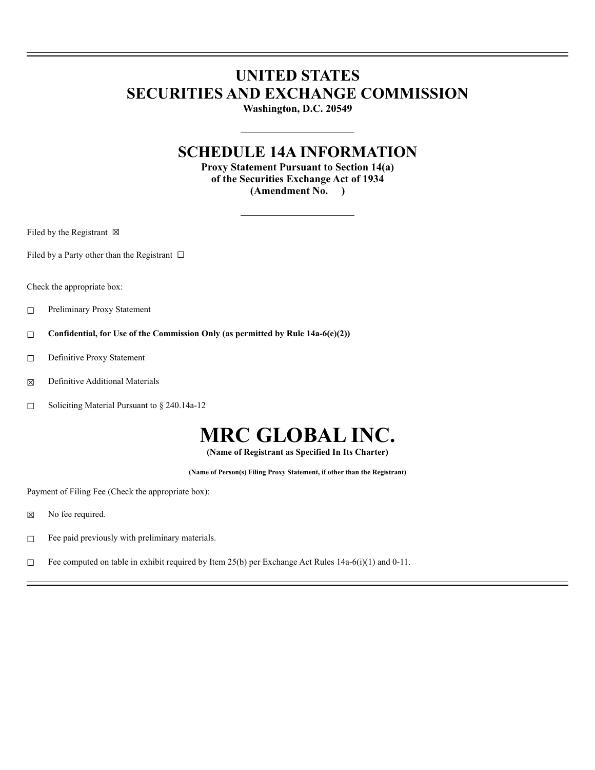## **UNITED STATES SECURITIES AND EXCHANGE COMMISSION**

**Washington, D.C. 20549**

### **SCHEDULE 14A INFORMATION**

**Proxy Statement Pursuant to Section 14(a) of the Securities Exchange Act of 1934 (Amendment No. )**

Filed by the Registrant  $\boxtimes$ 

Filed by a Party other than the Registrant  $\Box$ 

Check the appropriate box:

- ☐ Preliminary Proxy Statement
- ☐ **Confidential, for Use of the Commission Only (as permitted by Rule 14a-6(e)(2))**
- ☐ Definitive Proxy Statement
- ☒ Definitive Additional Materials
- ☐ Soliciting Material Pursuant to § 240.14a-12

# **MRC GLOBAL INC.**

**(Name of Registrant as Specified In Its Charter)**

**(Name of Person(s) Filing Proxy Statement, if other than the Registrant)**

Payment of Filing Fee (Check the appropriate box):

- ⊠ No fee required.
- $□$  Fee paid previously with preliminary materials.
- □ Fee computed on table in exhibit required by Item  $25(b)$  per Exchange Act Rules 14a-6(i)(1) and 0-11.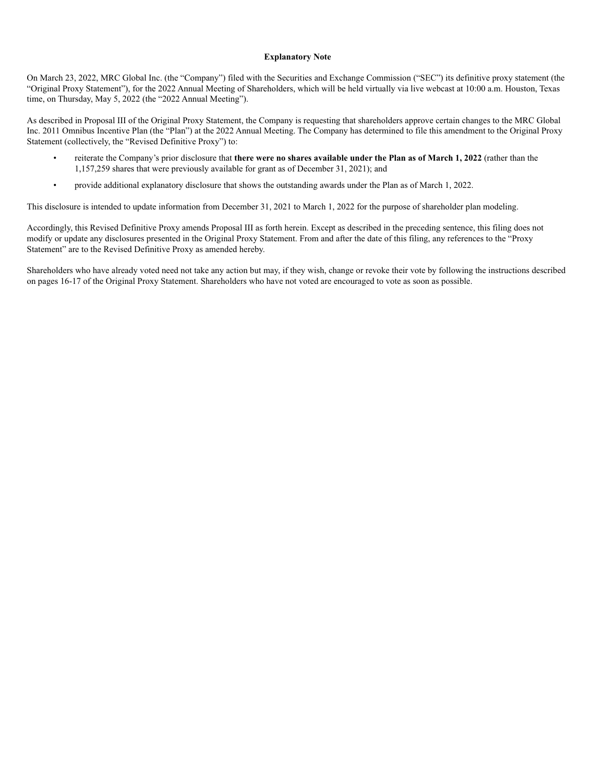#### **Explanatory Note**

On March 23, 2022, MRC Global Inc. (the "Company") filed with the Securities and Exchange Commission ("SEC") its definitive proxy statement (the "Original Proxy Statement"), for the 2022 Annual Meeting of Shareholders, which will be held virtually via live webcast at 10:00 a.m. Houston, Texas time, on Thursday, May 5, 2022 (the "2022 Annual Meeting").

As described in Proposal III of the Original Proxy Statement, the Company is requesting that shareholders approve certain changes to the MRC Global Inc. 2011 Omnibus Incentive Plan (the "Plan") at the 2022 Annual Meeting. The Company has determined to file this amendment to the Original Proxy Statement (collectively, the "Revised Definitive Proxy") to:

- reiterate the Company's prior disclosure that **there were no shares available under the Plan as of March 1, 2022** (rather than the 1,157,259 shares that were previously available for grant as of December 31, 2021); and
- provide additional explanatory disclosure that shows the outstanding awards under the Plan as of March 1, 2022.

This disclosure is intended to update information from December 31, 2021 to March 1, 2022 for the purpose of shareholder plan modeling.

Accordingly, this Revised Definitive Proxy amends Proposal III as forth herein. Except as described in the preceding sentence, this filing does not modify or update any disclosures presented in the Original Proxy Statement. From and after the date of this filing, any references to the "Proxy Statement" are to the Revised Definitive Proxy as amended hereby.

Shareholders who have already voted need not take any action but may, if they wish, change or revoke their vote by following the instructions described on pages 16-17 of the Original Proxy Statement. Shareholders who have not voted are encouraged to vote as soon as possible.